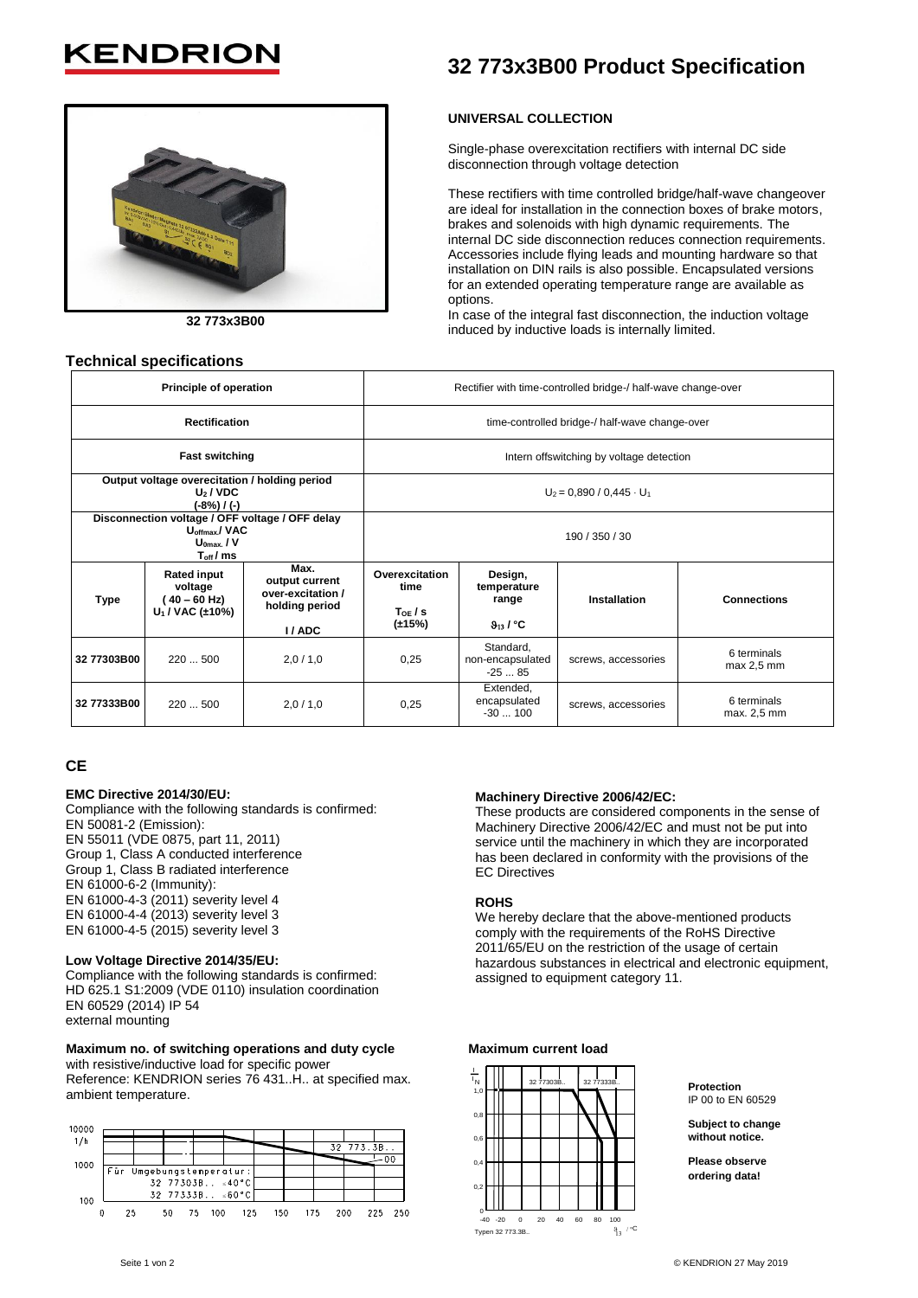# **KENDRIC**

**Technical specifications**



**32 773x3B00**

# **32 773x3B00 Product Specification**

# **UNIVERSAL COLLECTION**

Single-phase overexcitation rectifiers with internal DC side disconnection through voltage detection

These rectifiers with time controlled bridge/half-wave changeover are ideal for installation in the connection boxes of brake motors, brakes and solenoids with high dynamic requirements. The internal DC side disconnection reduces connection requirements. Accessories include flying leads and mounting hardware so that installation on DIN rails is also possible. Encapsulated versions for an extended operating temperature range are available as options.

In case of the integral fast disconnection, the induction voltage induced by inductive loads is internally limited.

|                                                                                                                 | Principle of operation                                                        |                                                                        | Rectifier with time-controlled bridge-/ half-wave change-over |                                                            |                     |                            |  |  |
|-----------------------------------------------------------------------------------------------------------------|-------------------------------------------------------------------------------|------------------------------------------------------------------------|---------------------------------------------------------------|------------------------------------------------------------|---------------------|----------------------------|--|--|
|                                                                                                                 | <b>Rectification</b>                                                          |                                                                        | time-controlled bridge-/ half-wave change-over                |                                                            |                     |                            |  |  |
|                                                                                                                 | <b>Fast switching</b>                                                         |                                                                        | Intern offswitching by voltage detection                      |                                                            |                     |                            |  |  |
|                                                                                                                 | Output voltage overecitation / holding period<br>$U_2 / VDC$<br>$(-8%) / (-)$ |                                                                        | $U_2$ = 0,890 / 0,445 $\cdot$ U <sub>1</sub>                  |                                                            |                     |                            |  |  |
| Disconnection voltage / OFF voltage / OFF delay<br>U <sub>offmax</sub> /VAC<br>$U_{0max}$ , / V<br>$T_{off}/ms$ |                                                                               |                                                                        | 190 / 350 / 30                                                |                                                            |                     |                            |  |  |
| Type                                                                                                            | <b>Rated input</b><br>voltage<br>( 40 – 60 Hz)<br>$U_1 / VAC$ ( $\pm 10\%$ )  | Max.<br>output current<br>over-excitation /<br>holding period<br>I/ADC | Overexcitation<br>time<br>ToE/S<br>(±15%)                     | Design,<br>temperature<br>range<br>$9_{13}$ / $^{\circ}$ C | Installation        | <b>Connections</b>         |  |  |
| 32 77303B00                                                                                                     | 220  500                                                                      | 2,0/1,0                                                                | 0,25                                                          | Standard,<br>non-encapsulated<br>$-2585$                   | screws, accessories | 6 terminals<br>max 2,5 mm  |  |  |
| 32 77333B00                                                                                                     | 220  500                                                                      | 2,0/1,0                                                                | 0,25                                                          | Extended,<br>encapsulated<br>$-30100$                      | screws, accessories | 6 terminals<br>max. 2,5 mm |  |  |

# **CE**

## **EMC Directive 2014/30/EU:**

Compliance with the following standards is confirmed: EN 50081-2 (Emission): EN 55011 (VDE 0875, part 11, 2011) Group 1, Class A conducted interference Group 1, Class B radiated interference EN 61000-6-2 (Immunity): EN 61000-4-3 (2011) severity level 4 EN 61000-4-4 (2013) severity level 3 EN 61000-4-5 (2015) severity level 3

# **Low Voltage Directive 2014/35/EU:**

Compliance with the following standards is confirmed: HD 625.1 S1:2009 (VDE 0110) insulation coordination EN 60529 (2014) IP 54 external mounting

# **Maximum no. of switching operations and duty cycle**

with resistive/inductive load for specific power Reference: KENDRION series 76 431..H.. at specified max. ambient temperature.

| 10000 |                          |    |    |                                 |     |     |     |           |            |
|-------|--------------------------|----|----|---------------------------------|-----|-----|-----|-----------|------------|
| 1/h   |                          |    |    |                                 |     |     |     | 32 773.3B |            |
| 1000  |                          |    |    |                                 |     |     |     |           | - 0 0      |
|       | Für Umgebungstemperatur: |    |    |                                 |     |     |     |           |            |
|       |                          |    |    | $32$ 77303B $\leq 40^{\circ}$ C |     |     |     |           |            |
| 100   |                          |    |    | $32$ 77333B $\leq 60^{\circ}$ C |     |     |     |           |            |
|       | 25                       | 50 | 75 | 100                             | 125 | 150 | 175 | 200       | 250<br>225 |

## **Machinery Directive 2006/42/EC:**

These products are considered components in the sense of Machinery Directive 2006/42/EC and must not be put into service until the machinery in which they are incorporated has been declared in conformity with the provisions of the EC Directives

# **ROHS**

We hereby declare that the above-mentioned products comply with the requirements of the RoHS Directive 2011/65/EU on the restriction of the usage of certain hazardous substances in electrical and electronic equipment, assigned to equipment category 11.

#### **Maximum current load**



**Protection** IP 00 to EN 60529

**Subject to change without notice.**

**Please observe ordering data!**